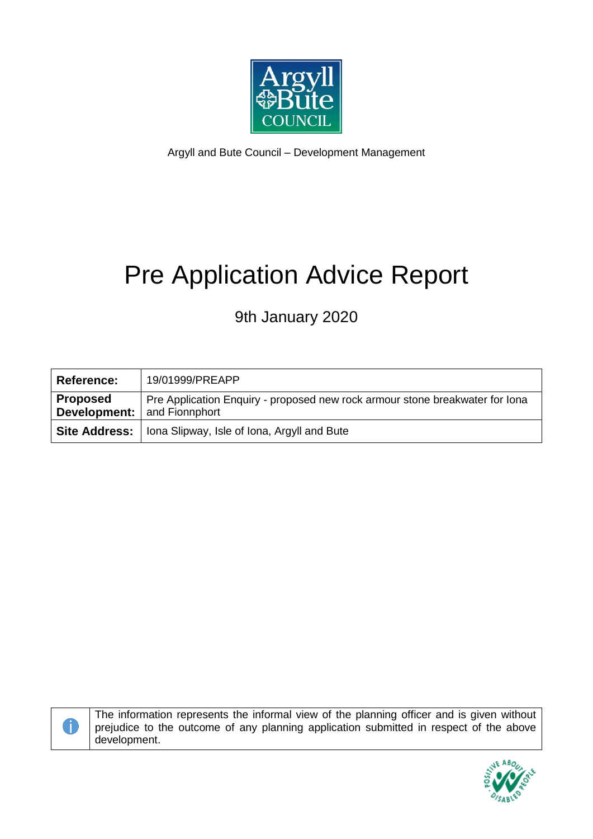

Argyll and Bute Council – Development Management

# Pre Application Advice Report

# 9th January 2020

| <b>Reference:</b>                                     | 19/01999/PREAPP                                                              |
|-------------------------------------------------------|------------------------------------------------------------------------------|
| <b>Proposed</b><br><b>Development:</b> and Fionnphort | Pre Application Enquiry - proposed new rock armour stone breakwater for lona |
|                                                       | <b>Site Address:</b>   Iona Slipway, Isle of Iona, Argyll and Bute           |



The information represents the informal view of the planning officer and is given without prejudice to the outcome of any planning application submitted in respect of the above development.

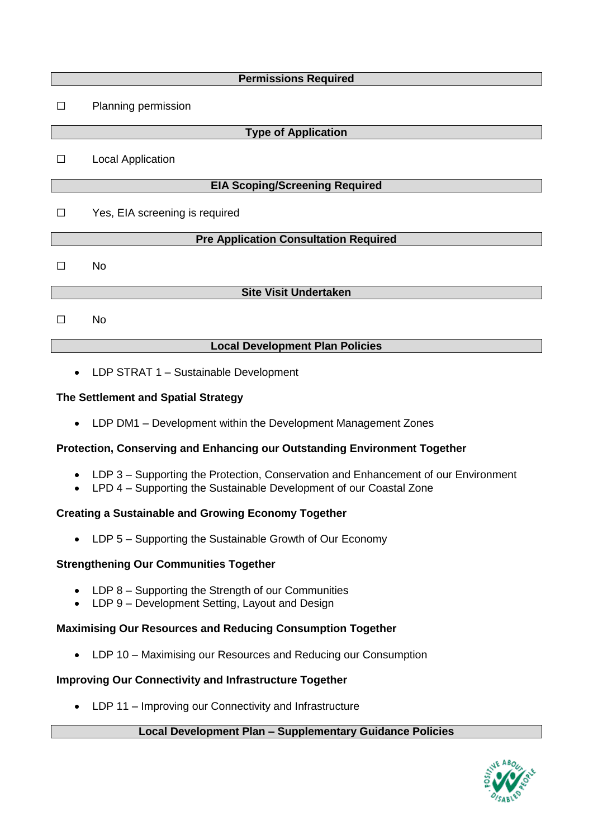| <b>Permissions Required</b>                  |                                        |  |  |
|----------------------------------------------|----------------------------------------|--|--|
| $\Box$                                       | Planning permission                    |  |  |
| <b>Type of Application</b>                   |                                        |  |  |
| П                                            | <b>Local Application</b>               |  |  |
| <b>EIA Scoping/Screening Required</b>        |                                        |  |  |
| П                                            | Yes, EIA screening is required         |  |  |
| <b>Pre Application Consultation Required</b> |                                        |  |  |
| Ш                                            | <b>No</b>                              |  |  |
| <b>Site Visit Undertaken</b>                 |                                        |  |  |
|                                              | <b>No</b>                              |  |  |
|                                              | <b>Local Development Plan Policies</b> |  |  |

• LDP STRAT 1 – Sustainable Development

# **The Settlement and Spatial Strategy**

LDP DM1 – Development within the Development Management Zones

# **Protection, Conserving and Enhancing our Outstanding Environment Together**

- LDP 3 Supporting the Protection, Conservation and Enhancement of our Environment
- LPD 4 Supporting the Sustainable Development of our Coastal Zone

# **Creating a Sustainable and Growing Economy Together**

• LDP 5 – Supporting the Sustainable Growth of Our Economy

# **Strengthening Our Communities Together**

- LDP 8 Supporting the Strength of our Communities
- LDP 9 Development Setting, Layout and Design

# **Maximising Our Resources and Reducing Consumption Together**

LDP 10 – Maximising our Resources and Reducing our Consumption

# **Improving Our Connectivity and Infrastructure Together**

• LDP 11 – Improving our Connectivity and Infrastructure

# **Local Development Plan – Supplementary Guidance Policies**

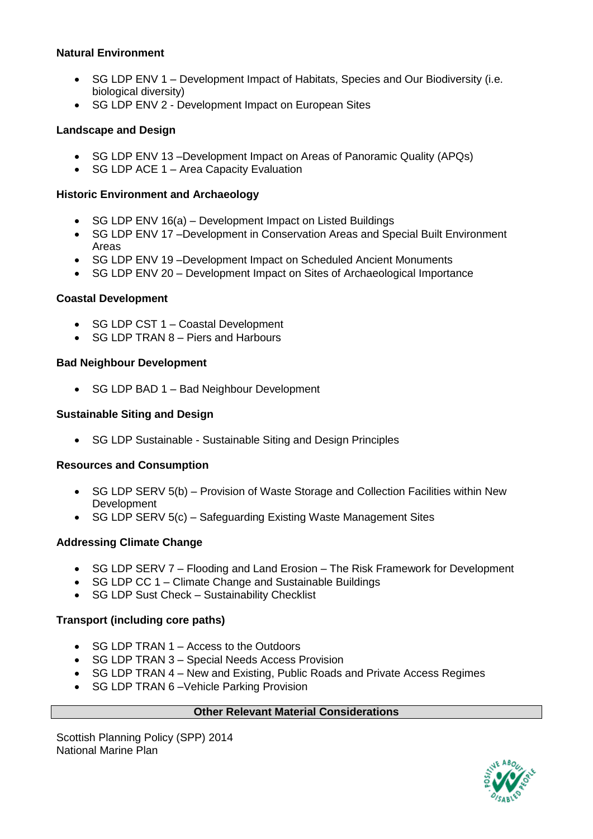# **Natural Environment**

- SG LDP ENV 1 Development Impact of Habitats, Species and Our Biodiversity (i.e. biological diversity)
- SG LDP ENV 2 Development Impact on European Sites

# **Landscape and Design**

- SG LDP ENV 13 –Development Impact on Areas of Panoramic Quality (APQs)
- SG LDP ACE 1 Area Capacity Evaluation

# **Historic Environment and Archaeology**

- SG LDP ENV 16(a) Development Impact on Listed Buildings
- SG LDP ENV 17 -Development in Conservation Areas and Special Built Environment Areas
- SG LDP ENV 19 –Development Impact on Scheduled Ancient Monuments
- SG LDP ENV 20 Development Impact on Sites of Archaeological Importance

#### **Coastal Development**

- SG LDP CST 1 Coastal Development
- SG LDP TRAN 8 Piers and Harbours

# **Bad Neighbour Development**

• SG LDP BAD 1 – Bad Neighbour Development

#### **Sustainable Siting and Design**

• SG LDP Sustainable - Sustainable Siting and Design Principles

#### **Resources and Consumption**

- SG LDP SERV 5(b) Provision of Waste Storage and Collection Facilities within New Development
- SG LDP SERV 5(c) Safeguarding Existing Waste Management Sites

#### **Addressing Climate Change**

- SG LDP SERV 7 Flooding and Land Erosion The Risk Framework for Development
- SG LDP CC 1 Climate Change and Sustainable Buildings
- SG LDP Sust Check Sustainability Checklist

#### **Transport (including core paths)**

- SG LDP TRAN 1 Access to the Outdoors
- SG LDP TRAN 3 Special Needs Access Provision
- SG LDP TRAN 4 New and Existing, Public Roads and Private Access Regimes
- SG LDP TRAN 6-Vehicle Parking Provision

#### **Other Relevant Material Considerations**

Scottish Planning Policy (SPP) 2014 National Marine Plan

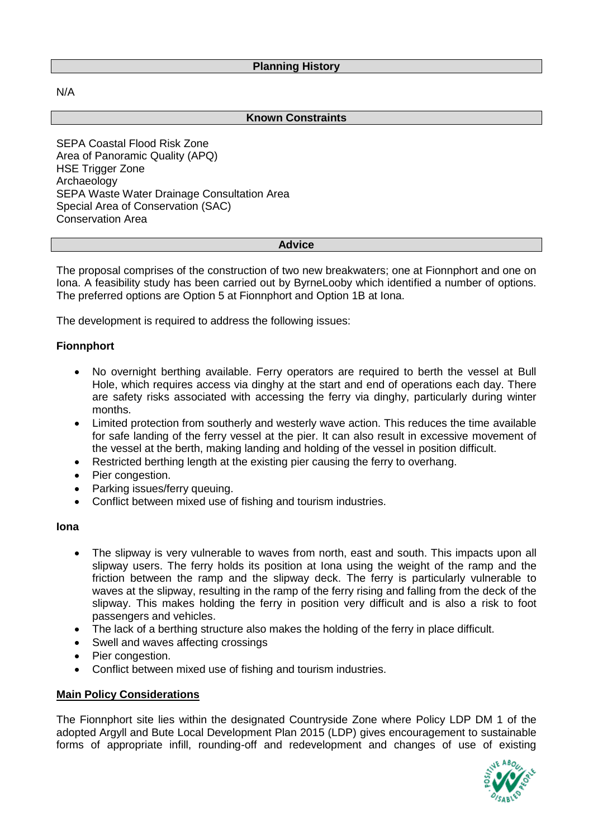N/A

#### **Known Constraints**

SEPA Coastal Flood Risk Zone Area of Panoramic Quality (APQ) HSE Trigger Zone Archaeology SEPA Waste Water Drainage Consultation Area Special Area of Conservation (SAC) Conservation Area

#### **Advice**

The proposal comprises of the construction of two new breakwaters; one at Fionnphort and one on Iona. A feasibility study has been carried out by ByrneLooby which identified a number of options. The preferred options are Option 5 at Fionnphort and Option 1B at Iona.

The development is required to address the following issues:

#### **Fionnphort**

- No overnight berthing available. Ferry operators are required to berth the vessel at Bull Hole, which requires access via dinghy at the start and end of operations each day. There are safety risks associated with accessing the ferry via dinghy, particularly during winter months.
- Limited protection from southerly and westerly wave action. This reduces the time available for safe landing of the ferry vessel at the pier. It can also result in excessive movement of the vessel at the berth, making landing and holding of the vessel in position difficult.
- Restricted berthing length at the existing pier causing the ferry to overhang.
- Pier congestion.
- Parking issues/ferry queuing.
- Conflict between mixed use of fishing and tourism industries.

#### **Iona**

- The slipway is very vulnerable to waves from north, east and south. This impacts upon all slipway users. The ferry holds its position at Iona using the weight of the ramp and the friction between the ramp and the slipway deck. The ferry is particularly vulnerable to waves at the slipway, resulting in the ramp of the ferry rising and falling from the deck of the slipway. This makes holding the ferry in position very difficult and is also a risk to foot passengers and vehicles.
- The lack of a berthing structure also makes the holding of the ferry in place difficult.
- Swell and waves affecting crossings
- Pier congestion.
- Conflict between mixed use of fishing and tourism industries.

#### **Main Policy Considerations**

The Fionnphort site lies within the designated Countryside Zone where Policy LDP DM 1 of the adopted Argyll and Bute Local Development Plan 2015 (LDP) gives encouragement to sustainable forms of appropriate infill, rounding-off and redevelopment and changes of use of existing

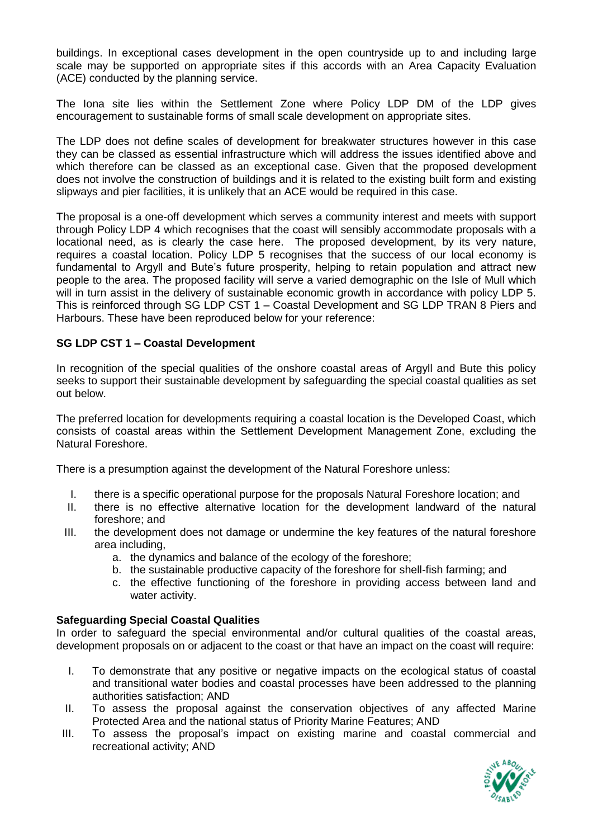buildings. In exceptional cases development in the open countryside up to and including large scale may be supported on appropriate sites if this accords with an Area Capacity Evaluation (ACE) conducted by the planning service.

The Iona site lies within the Settlement Zone where Policy LDP DM of the LDP gives encouragement to sustainable forms of small scale development on appropriate sites.

The LDP does not define scales of development for breakwater structures however in this case they can be classed as essential infrastructure which will address the issues identified above and which therefore can be classed as an exceptional case. Given that the proposed development does not involve the construction of buildings and it is related to the existing built form and existing slipways and pier facilities, it is unlikely that an ACE would be required in this case.

The proposal is a one-off development which serves a community interest and meets with support through Policy LDP 4 which recognises that the coast will sensibly accommodate proposals with a locational need, as is clearly the case here. The proposed development, by its very nature, requires a coastal location. Policy LDP 5 recognises that the success of our local economy is fundamental to Argyll and Bute's future prosperity, helping to retain population and attract new people to the area. The proposed facility will serve a varied demographic on the Isle of Mull which will in turn assist in the delivery of sustainable economic growth in accordance with policy LDP 5. This is reinforced through SG LDP CST 1 – Coastal Development and SG LDP TRAN 8 Piers and Harbours. These have been reproduced below for your reference:

#### **SG LDP CST 1 – Coastal Development**

In recognition of the special qualities of the onshore coastal areas of Argyll and Bute this policy seeks to support their sustainable development by safeguarding the special coastal qualities as set out below.

The preferred location for developments requiring a coastal location is the Developed Coast, which consists of coastal areas within the Settlement Development Management Zone, excluding the Natural Foreshore.

There is a presumption against the development of the Natural Foreshore unless:

- I. there is a specific operational purpose for the proposals Natural Foreshore location; and
- II. there is no effective alternative location for the development landward of the natural foreshore; and
- III. the development does not damage or undermine the key features of the natural foreshore area including,
	- a. the dynamics and balance of the ecology of the foreshore;
	- b. the sustainable productive capacity of the foreshore for shell-fish farming; and
	- c. the effective functioning of the foreshore in providing access between land and water activity.

#### **Safeguarding Special Coastal Qualities**

In order to safeguard the special environmental and/or cultural qualities of the coastal areas, development proposals on or adjacent to the coast or that have an impact on the coast will require:

- I. To demonstrate that any positive or negative impacts on the ecological status of coastal and transitional water bodies and coastal processes have been addressed to the planning authorities satisfaction; AND
- II. To assess the proposal against the conservation objectives of any affected Marine Protected Area and the national status of Priority Marine Features; AND
- III. To assess the proposal's impact on existing marine and coastal commercial and recreational activity; AND

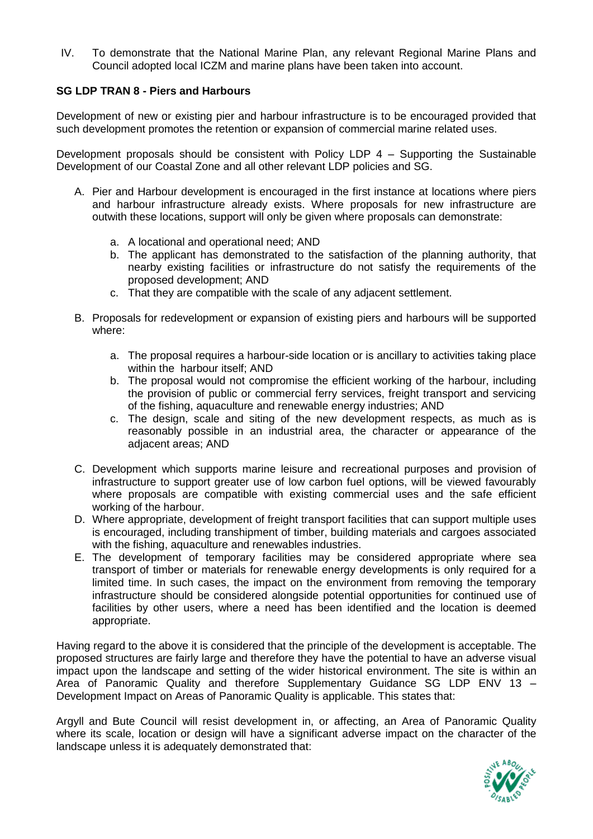IV. To demonstrate that the National Marine Plan, any relevant Regional Marine Plans and Council adopted local ICZM and marine plans have been taken into account.

#### **SG LDP TRAN 8 - Piers and Harbours**

Development of new or existing pier and harbour infrastructure is to be encouraged provided that such development promotes the retention or expansion of commercial marine related uses.

Development proposals should be consistent with Policy LDP  $4 -$  Supporting the Sustainable Development of our Coastal Zone and all other relevant LDP policies and SG.

- A. Pier and Harbour development is encouraged in the first instance at locations where piers and harbour infrastructure already exists. Where proposals for new infrastructure are outwith these locations, support will only be given where proposals can demonstrate:
	- a. A locational and operational need; AND
	- b. The applicant has demonstrated to the satisfaction of the planning authority, that nearby existing facilities or infrastructure do not satisfy the requirements of the proposed development; AND
	- c. That they are compatible with the scale of any adjacent settlement.
- B. Proposals for redevelopment or expansion of existing piers and harbours will be supported where:
	- a. The proposal requires a harbour-side location or is ancillary to activities taking place within the harbour itself; AND
	- b. The proposal would not compromise the efficient working of the harbour, including the provision of public or commercial ferry services, freight transport and servicing of the fishing, aquaculture and renewable energy industries; AND
	- c. The design, scale and siting of the new development respects, as much as is reasonably possible in an industrial area, the character or appearance of the adjacent areas; AND
- C. Development which supports marine leisure and recreational purposes and provision of infrastructure to support greater use of low carbon fuel options, will be viewed favourably where proposals are compatible with existing commercial uses and the safe efficient working of the harbour.
- D. Where appropriate, development of freight transport facilities that can support multiple uses is encouraged, including transhipment of timber, building materials and cargoes associated with the fishing, aquaculture and renewables industries.
- E. The development of temporary facilities may be considered appropriate where sea transport of timber or materials for renewable energy developments is only required for a limited time. In such cases, the impact on the environment from removing the temporary infrastructure should be considered alongside potential opportunities for continued use of facilities by other users, where a need has been identified and the location is deemed appropriate.

Having regard to the above it is considered that the principle of the development is acceptable. The proposed structures are fairly large and therefore they have the potential to have an adverse visual impact upon the landscape and setting of the wider historical environment. The site is within an Area of Panoramic Quality and therefore Supplementary Guidance SG LDP ENV 13 – Development Impact on Areas of Panoramic Quality is applicable. This states that:

Argyll and Bute Council will resist development in, or affecting, an Area of Panoramic Quality where its scale, location or design will have a significant adverse impact on the character of the landscape unless it is adequately demonstrated that:

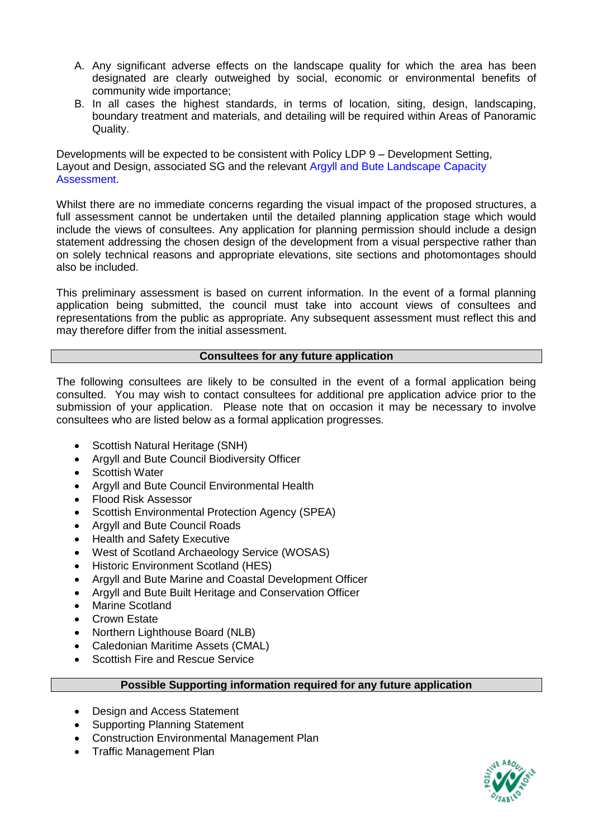- A. Any significant adverse effects on the landscape quality for which the area has been designated are clearly outweighed by social, economic or environmental benefits of community wide importance;
- B. In all cases the highest standards, in terms of location, siting, design, landscaping, boundary treatment and materials, and detailing will be required within Areas of Panoramic Quality.

Developments will be expected to be consistent with Policy LDP 9 – Development Setting, Layout and Design, associated SG and the relevant Argyll and Bute Landscape Capacity Assessment.

Whilst there are no immediate concerns regarding the visual impact of the proposed structures, a full assessment cannot be undertaken until the detailed planning application stage which would include the views of consultees. Any application for planning permission should include a design statement addressing the chosen design of the development from a visual perspective rather than on solely technical reasons and appropriate elevations, site sections and photomontages should also be included.

This preliminary assessment is based on current information. In the event of a formal planning application being submitted, the council must take into account views of consultees and representations from the public as appropriate. Any subsequent assessment must reflect this and may therefore differ from the initial assessment.

#### **Consultees for any future application**

The following consultees are likely to be consulted in the event of a formal application being consulted. You may wish to contact consultees for additional pre application advice prior to the submission of your application. Please note that on occasion it may be necessary to involve consultees who are listed below as a formal application progresses.

- Scottish Natural Heritage (SNH)
- Argyll and Bute Council Biodiversity Officer
- Scottish Water
- Argyll and Bute Council Environmental Health
- Flood Risk Assessor
- Scottish Environmental Protection Agency (SPEA)
- Argyll and Bute Council Roads
- Health and Safety Executive
- West of Scotland Archaeology Service (WOSAS)
- Historic Environment Scotland (HES)
- Argyll and Bute Marine and Coastal Development Officer
- Argyll and Bute Built Heritage and Conservation Officer
- Marine Scotland
- Crown Estate
- Northern Lighthouse Board (NLB)
- Caledonian Maritime Assets (CMAL)
- Scottish Fire and Rescue Service

# **Possible Supporting information required for any future application**

- Design and Access Statement
- Supporting Planning Statement
- Construction Environmental Management Plan
- Traffic Management Plan